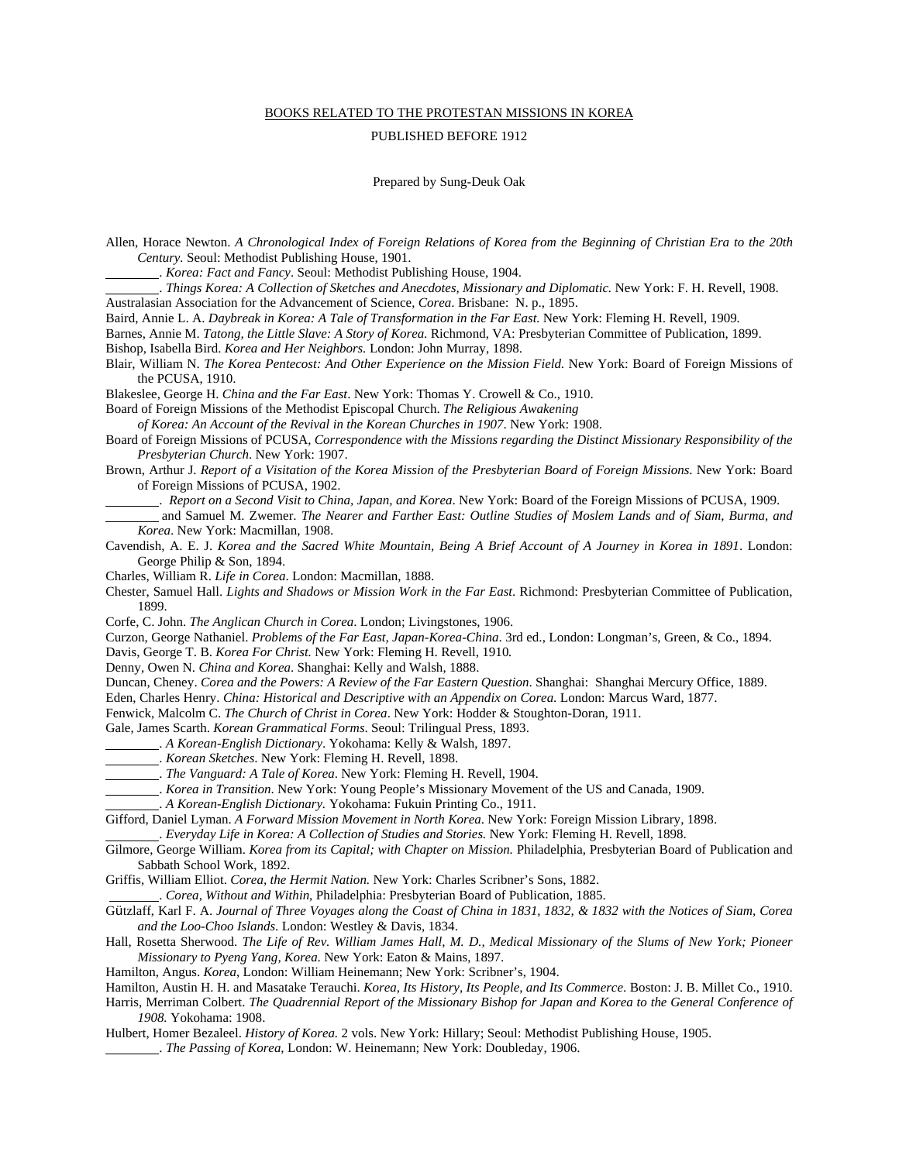## BOOKS RELATED TO THE PROTESTAN MISSIONS IN KOREA

## PUBLISHED BEFORE 1912

Prepared by Sung-Deuk Oak

- Allen, Horace Newton. *A Chronological Index of Foreign Relations of Korea from the Beginning of Christian Era to the 20th Century.* Seoul: Methodist Publishing House, 1901.
	- . *Korea: Fact and Fancy*. Seoul: Methodist Publishing House, 1904.

 . *Things Korea: A Collection of Sketches and Anecdotes, Missionary and Diplomatic.* New York: F. H. Revell, 1908. Australasian Association for the Advancement of Science, *Corea*. Brisbane: N. p., 1895.

Baird, Annie L. A. *Daybreak in Korea: A Tale of Transformation in the Far East.* New York: Fleming H. Revell, 1909*.* 

Barnes, Annie M. *Tatong, the Little Slave: A Story of Korea*. Richmond, VA: Presbyterian Committee of Publication, 1899. Bishop, Isabella Bird. *Korea and Her Neighbors.* London: John Murray, 1898.

Blair, William N. *The Korea Pentecost: And Other Experience on the Mission Field*. New York: Board of Foreign Missions of the PCUSA, 1910.

Blakeslee, George H. *China and the Far East*. New York: Thomas Y. Crowell & Co., 1910.

Board of Foreign Missions of the Methodist Episcopal Church. *The Religious Awakening* 

 *of Korea: An Account of the Revival in the Korean Churches in 1907*. New York: 1908.

Board of Foreign Missions of PCUSA, *Correspondence with the Missions regarding the Distinct Missionary Responsibility of the Presbyterian Church*. New York: 1907.

- Brown, Arthur J. *Report of a Visitation of the Korea Mission of the Presbyterian Board of Foreign Missions*. New York: Board of Foreign Missions of PCUSA, 1902.
	- . *Report on a Second Visit to China, Japan, and Korea*. New York: Board of the Foreign Missions of PCUSA, 1909.
- and Samuel M. Zwemer. *The Nearer and Farther East: Outline Studies of Moslem Lands and of Siam, Burma, and Korea*. New York: Macmillan, 1908.
- Cavendish, A. E. J. *Korea and the Sacred White Mountain, Being A Brief Account of A Journey in Korea in 1891*. London: George Philip & Son, 1894.

Charles, William R. *Life in Corea*. London: Macmillan, 1888.

- Chester, Samuel Hall. *Lights and Shadows or Mission Work in the Far East*. Richmond: Presbyterian Committee of Publication, 1899.
- Corfe, C. John. *The Anglican Church in Corea*. London; Livingstones, 1906.

Curzon, George Nathaniel. *Problems of the Far East, Japan-Korea-China*. 3rd ed., London: Longman's, Green, & Co., 1894.

- Davis, George T. B. *Korea For Christ.* New York: Fleming H. Revell, 1910*.*
- Denny, Owen N. *China and Korea*. Shanghai: Kelly and Walsh, 1888.
- Duncan, Cheney. *Corea and the Powers: A Review of the Far Eastern Question*. Shanghai: Shanghai Mercury Office, 1889.
- Eden, Charles Henry. *China: Historical and Descriptive with an Appendix on Corea*. London: Marcus Ward, 1877.

Fenwick, Malcolm C. *The Church of Christ in Corea*. New York: Hodder & Stoughton-Doran, 1911.

- Gale, James Scarth. *Korean Grammatical Forms*. Seoul: Trilingual Press, 1893.
- . *A Korean-English Dictionary*. Yokohama: Kelly & Walsh, 1897.
- . *Korean Sketches*. New York: Fleming H. Revell, 1898.
- . *The Vanguard: A Tale of Korea*. New York: Fleming H. Revell, 1904.
- . *Korea in Transition*. New York: Young People's Missionary Movement of the US and Canada, 1909.
- . *A Korean-English Dictionary.* Yokohama: Fukuin Printing Co., 1911.
- Gifford, Daniel Lyman. *A Forward Mission Movement in North Korea*. New York: Foreign Mission Library, 1898.

. *Everyday Life in Korea: A Collection of Studies and Stories.* New York: Fleming H. Revell, 1898.

Gilmore, George William. *Korea from its Capital; with Chapter on Mission.* Philadelphia, Presbyterian Board of Publication and Sabbath School Work, 1892.

Griffis, William Elliot. *Corea, the Hermit Nation.* New York: Charles Scribner's Sons, 1882.

- . *Corea, Without and Within*, Philadelphia: Presbyterian Board of Publication, 1885.
- Gützlaff, Karl F. A. *Journal of Three Voyages along the Coast of China in 1831, 1832, & 1832 with the Notices of Siam, Corea and the Loo-Choo Islands*. London: Westley & Davis, 1834.
- Hall, Rosetta Sherwood. *The Life of Rev. William James Hall, M. D., Medical Missionary of the Slums of New York; Pioneer Missionary to Pyeng Yang, Korea*. New York: Eaton & Mains, 1897.
- Hamilton, Angus. *Korea*, London: William Heinemann; New York: Scribner's, 1904.
- Hamilton, Austin H. H. and Masatake Terauchi. *Korea, Its History, Its People, and Its Commerce*. Boston: J. B. Millet Co., 1910.
- Harris, Merriman Colbert. *The Quadrennial Report of the Missionary Bishop for Japan and Korea to the General Conference of 1908.* Yokohama: 1908.
- Hulbert, Homer Bezaleel. *History of Korea.* 2 vols. New York: Hillary; Seoul: Methodist Publishing House, 1905. . *The Passing of Korea*, London: W. Heinemann; New York: Doubleday, 1906.